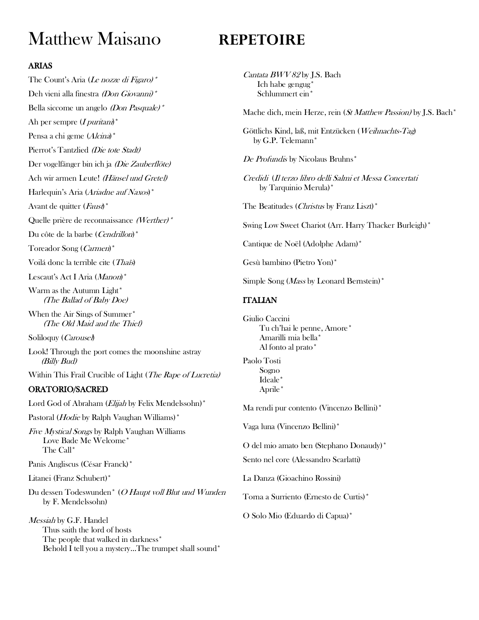# Matthew Maisano **REPETOIRE**

# ARIAS

The Count's Aria (Le nozze di Figaro)<sup>\*</sup> Deh vieni alla finestra (Don Giovanni)<sup>\*</sup> Bella siccome un angelo (Don Pasquale)<sup>\*</sup> Ah per sempre  $(I$  *puritani* $*)^*$ Pensa a chi geme (Alcina)<sup>\*</sup> Pierrot's Tantzlied (Die tote Stadt) Der vogelfänger bin ich ja (Die Zauberflöte) Ach wir armen Leute! (Hänsel und Gretel) Harlequin's Aria (Ariadne auf Naxos)<sup>\*</sup> Avant de quitter  $(Faus)\dagger$ \* Quelle prière de reconnaissance (Werther)\* Du côte de la barbe (Cendrillon)<sup>\*</sup> Toreador Song (Carmen)\* Voilá donc la terrible cite (Thaïs) Lescaut's Act I Aria (Manon)\* Warm as the Autumn Light\* (The Ballad of Baby Doe) When the Air Sings of Summer\* (The Old Maid and the Thief) Soliloquy (*Carousel*) Look! Through the port comes the moonshine astray (Billy Bud) Within This Frail Crucible of Light (The Rape of Lucretia) ORATORIO/SACRED Lord God of Abraham (*Elijah* by Felix Mendelssohn)<sup>\*</sup> Pastoral (*Hodie* by Ralph Vaughan Williams)<sup>\*</sup> Five Mystical Songs by Ralph Vaughan Williams Love Bade Me Welcome\* The Call\* Panis Angliscus (César Franck)\* Litanei (Franz Schubert)\* Du dessen Todeswunden\* (O Haupt voll Blut und Wunden by F. Mendelssohn) Messiah by G.F. Handel Thus saith the lord of hosts The people that walked in darkness\* Behold I tell you a mystery…The trumpet shall sound\*

Cantata BWV 82 by J.S. Bach Ich habe gengug\* Schlummert ein\*

Mache dich, mein Herze, rein (St Matthew Passion) by J.S. Bach\*

Göttlichs Kind, laß, mit Entzücken (Weihnachts-Tag) by G.P. Telemann\*

De Profundis by Nicolaus Bruhns<sup>\*</sup>

Credidi (Il terzo libro delli Salmi et Messa Concertati by Tarquinio Merula)\*

The Beatitudes (Christus by Franz Liszt)\*

Swing Low Sweet Chariot (Arr. Harry Thacker Burleigh)\*

Cantique de Noël (Adolphe Adam)\*

Gesù bambino (Pietro Yon)\*

Simple Song (*Mass* by Leonard Bernstein)<sup>\*</sup>

# ITALIAN

Giulio Caccini Tu ch'hai le penne, Amore\* Amarilli mia bella\* Al fonto al prato\*

Paolo Tosti Sogno Ideale\* Aprile\*

Ma rendi pur contento (Vincenzo Bellini)\*

Vaga luna (Vincenzo Bellini)\*

O del mio amato ben (Stephano Donaudy)\*

Sento nel core (Alessandro Scarlatti)

La Danza (Gioachino Rossini)

Torna a Surriento (Ernesto de Curtis)\*

O Solo Mio (Eduardo di Capua)\*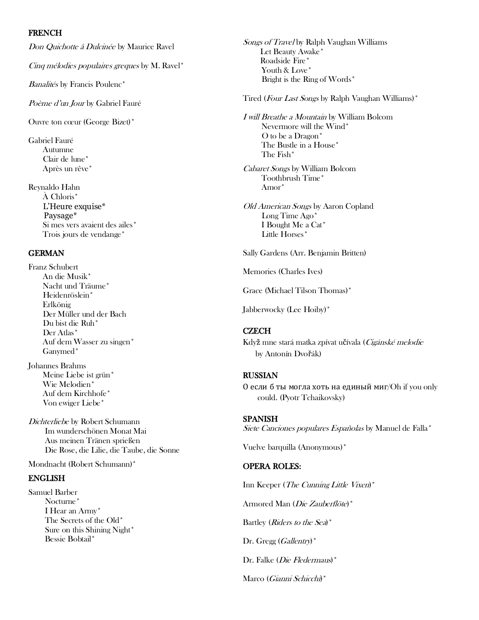#### FRENCH

Don Quichotte å Dulcinée by Maurice Ravel

Cinq mélodies populaires greques by M. Ravel\*

Banalités by Francis Poulenc<sup>\*</sup>

Poème d'un Jour by Gabriel Fauré

Ouvre ton cœur (George Bizet)\*

Gabriel Fauré Autumne Clair de lune\* Après un rêve\*

Reynaldo Hahn À Chloris\* L'Heure exquise\* Paysage\* Si mes vers avaient des ailes\* Trois jours de vendange\*

#### GERMAN

Franz Schubert An die Musik\* Nacht und Träume\* Heidenröslein\* Erlkönig Der Müller und der Bach Du bist die Ruh\* Der Atlas\* Auf dem Wasser zu singen\* Ganymed\*

Johannes Brahms Meine Liebe ist grün\* Wie Melodien\* Auf dem Kirchhofe\* Von ewiger Liebe\*

Dichterliebe by Robert Schumann Im wunderschönen Monat Mai Aus meinen Tränen sprießen Die Rose, die Lilie, die Taube, die Sonne

Mondnacht (Robert Schumann)\*

# ENGLISH

Samuel Barber Nocturne\* I Hear an Army\* The Secrets of the Old\* Sure on this Shining Night\* Bessie Bobtail\*

Songs of Travel by Ralph Vaughan Williams Let Beauty Awake<sup>\*</sup> Roadside Fire\* Youth & Love\* Bright is the Ring of Words\*

Tired (Four Last Songs by Ralph Vaughan Williams)\*

I will Breathe a Mountain by William Bolcom Nevermore will the Wind\* O to be a Dragon\* The Bustle in a House\* The Fish\*

Cabaret Songs by William Bolcom Toothbrush Time\* Amor\*

Old American Songs by Aaron Copland Long Time Ago\* I Bought Me a Cat\* Little Horses\*

Sally Gardens (Arr. Benjamin Britten)

Memories (Charles Ives)

Grace (Michael Tilson Thomas)\*

Jabberwocky (Lee Hoiby)\*

# **CZECH**

Když mne stará matka zpívat učívala (Cigánské melodie by Antonín Dvořák)

#### RUSSIAN

О если б ты могла хоть на единый миг/Oh if you only could. (Pyotr Tchaikovsky)

#### **SPANISH**

Siete Canciones populares Españolas by Manuel de Falla\*

Vuelve barquilla (Anonymous)\*

#### OPERA ROLES:

Inn Keeper (The Cunning Little Vixen)\* Armored Man (Die Zauberflöte)\* Bartley (*Riders to the Sea*)<sup>\*</sup> Dr. Gregg  $(Gallentry)^*$ Dr. Falke (Die Fledermaus)\*

Marco (Gianni Schicchi)\*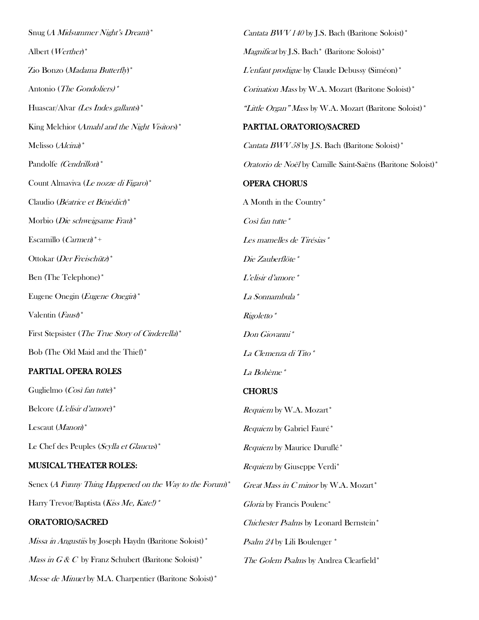Snug (A Midsummer Night's Dream)\* Albert (Werther)\* Zio Bonzo (Madama Butterfly)\* Antonio (The Gondoliers)\* Huascar/Alvar (Les Indes gallants)\* King Melchior (Amahl and the Night Visitors)<sup>\*</sup> Melisso (Alcina)\* Pandolfe (Cendrillon)\* Count Almaviva (Le nozze di Figaro)\* Claudio (Béatrice et Bénédict)\* Morbio (Die schweigsame Frau)\* Escamillo (Carmen)\*+ Ottokar (Der Freischütz)\* Ben (The Telephone)\* Eugene Onegin (Eugene Onegin)\* Valentin (Faust)\* First Stepsister (*The True Story of Cinderella*)<sup>\*</sup> Bob (The Old Maid and the Thief)\* PARTIAL OPERA ROLES Guglielmo (Così fan tutte)\* Belcore (L'elisir d'amore)\* Lescaut (Manon)\* Le Chef des Peuples (Scylla et Glaucus)\* MUSICAL THEATER ROLES: Senex (A Funny Thing Happened on the Way to the Forum)<sup>\*</sup>

Harry Trevor/Baptista (Kiss Me, Kate!)\*

# ORATORIO/SACRED

Missa in Angustiis by Joseph Haydn (Baritone Soloist)<sup>\*</sup> *Mass in G & C* by Franz Schubert (Baritone Soloist)\* Messe de Minuet by M.A. Charpentier (Baritone Soloist)<sup>\*</sup> *Cantata BWV 140* by J.S. Bach (Baritone Soloist)\* Magnificat by J.S. Bach\* (Baritone Soloist)\* L'enfant prodigue by Claude Debussy (Siméon)\* Corination Mass by W.A. Mozart (Baritone Soloist)\* "Little Organ" Mass by W.A. Mozart (Baritone Soloist)  $*$ PARTIAL ORATORIO/SACRED Cantata BWV 58 by J.S. Bach (Baritone Soloist)\* Oratorio de Noël by Camille Saint-Saëns (Baritone Soloist)\* OPERA CHORUS A Month in the Country\*  $\textit{Cosi}$  fan tutte  $*$ Les mamelles de Tirésias\* Die Zauberflöte\* L'elisir d'amore\* La Sonnambula\* Rigoletto\* Don Giovanni\* La Clemenza di Tito\* La Bohème\* **CHORUS** Requiem by W.A. Mozart\* Requiem by Gabriel Fauré\* Requiem by Maurice Duruflé\* Requiem by Giuseppe Verdi\* Great Mass in C minor by W.A. Mozart\* Gloria by Francis Poulenc\* Chichester Psalms by Leonard Bernstein\* Psalm 24 by Lili Boulenger \* The Golem Psalms by Andrea Clearfield\*